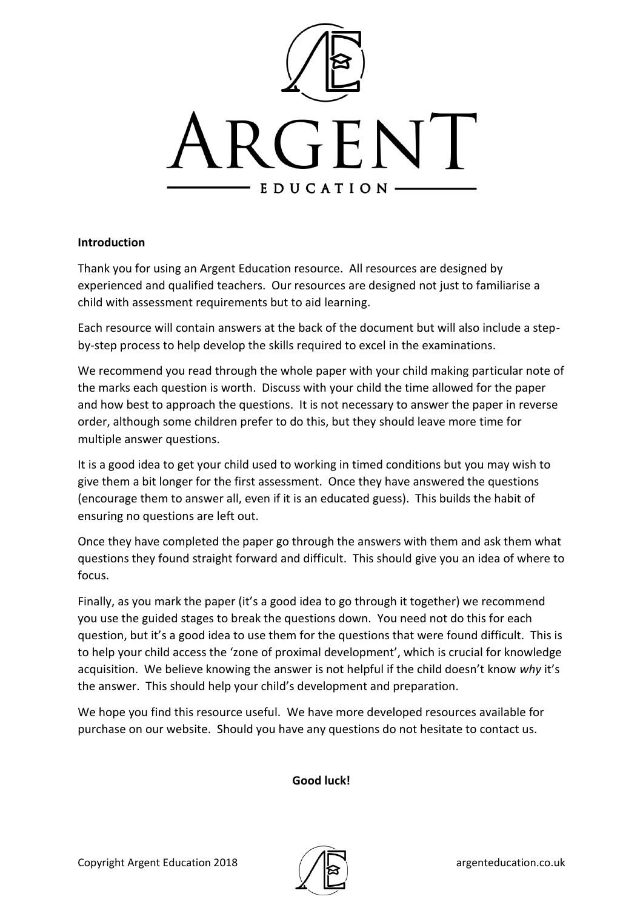

# **Introduction**

Thank you for using an Argent Education resource. All resources are designed by experienced and qualified teachers. Our resources are designed not just to familiarise a child with assessment requirements but to aid learning.

Each resource will contain answers at the back of the document but will also include a stepby-step process to help develop the skills required to excel in the examinations.

We recommend you read through the whole paper with your child making particular note of the marks each question is worth. Discuss with your child the time allowed for the paper and how best to approach the questions. It is not necessary to answer the paper in reverse order, although some children prefer to do this, but they should leave more time for multiple answer questions.

It is a good idea to get your child used to working in timed conditions but you may wish to give them a bit longer for the first assessment. Once they have answered the questions (encourage them to answer all, even if it is an educated guess). This builds the habit of ensuring no questions are left out.

Once they have completed the paper go through the answers with them and ask them what questions they found straight forward and difficult. This should give you an idea of where to focus.

Finally, as you mark the paper (it's a good idea to go through it together) we recommend you use the guided stages to break the questions down. You need not do this for each question, but it's a good idea to use them for the questions that were found difficult. This is to help your child access the 'zone of proximal development', which is crucial for knowledge acquisition. We believe knowing the answer is not helpful if the child doesn't know *why* it's the answer. This should help your child's development and preparation.

We hope you find this resource useful. We have more developed resources available for purchase on our website. Should you have any questions do not hesitate to contact us.

**Good luck!**

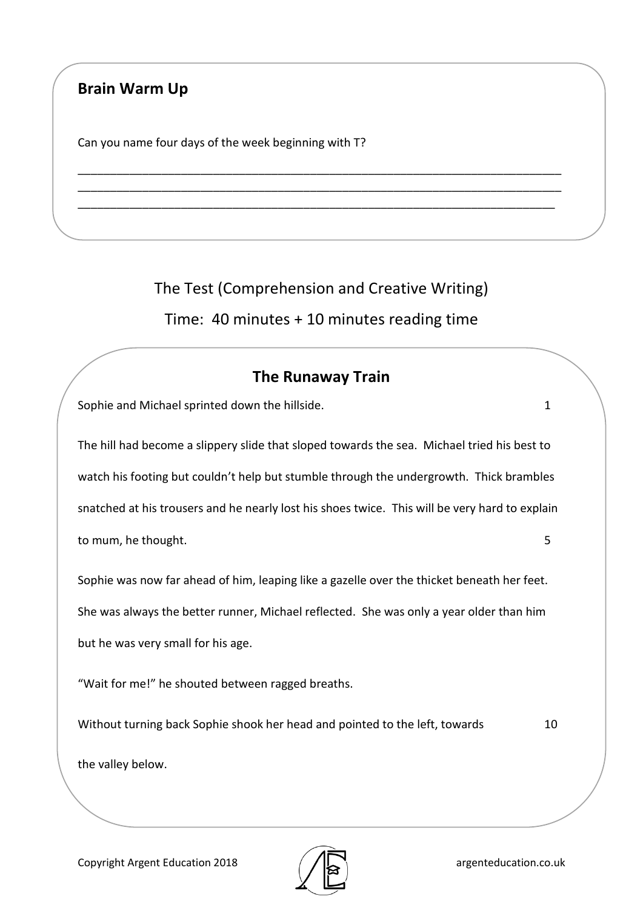**Brain Warm Up**

Can you name four days of the week beginning with T?

The Test (Comprehension and Creative Writing)

\_\_\_\_\_\_\_\_\_\_\_\_\_\_\_\_\_\_\_\_\_\_\_\_\_\_\_\_\_\_\_\_\_\_\_\_\_\_\_\_\_\_\_\_\_\_\_\_\_\_\_\_\_\_\_\_\_\_\_\_\_\_\_\_\_\_\_\_\_\_\_\_\_\_\_ \_\_\_\_\_\_\_\_\_\_\_\_\_\_\_\_\_\_\_\_\_\_\_\_\_\_\_\_\_\_\_\_\_\_\_\_\_\_\_\_\_\_\_\_\_\_\_\_\_\_\_\_\_\_\_\_\_\_\_\_\_\_\_\_\_\_\_\_\_\_\_\_\_\_\_ \_\_\_\_\_\_\_\_\_\_\_\_\_\_\_\_\_\_\_\_\_\_\_\_\_\_\_\_\_\_\_\_\_\_\_\_\_\_\_\_\_\_\_\_\_\_\_\_\_\_\_\_\_\_\_\_\_\_\_\_\_\_\_\_\_\_\_\_\_\_\_\_\_\_

Time: 40 minutes + 10 minutes reading time

# **The Runaway Train**

Sophie and Michael sprinted down the hillside. 1 1 and 2 and 2 and 2 and 2 and 2 and 2 and 2 and 2 and 2 and 2 and 2 and 2 and 2 and 2 and 2 and 2 and 2 and 2 and 2 and 2 and 2 and 2 and 2 and 2 and 2 and 2 and 2 and 2 and

The hill had become a slippery slide that sloped towards the sea. Michael tried his best to watch his footing but couldn't help but stumble through the undergrowth. Thick brambles snatched at his trousers and he nearly lost his shoes twice. This will be very hard to explain to mum, he thought. 5

Sophie was now far ahead of him, leaping like a gazelle over the thicket beneath her feet. She was always the better runner, Michael reflected. She was only a year older than him but he was very small for his age.

"Wait for me!" he shouted between ragged breaths.

Without turning back Sophie shook her head and pointed to the left, towards 10

the valley below.

Copyright Argent Education 2018  $\sqrt{|\mathcal{L}|}$ 

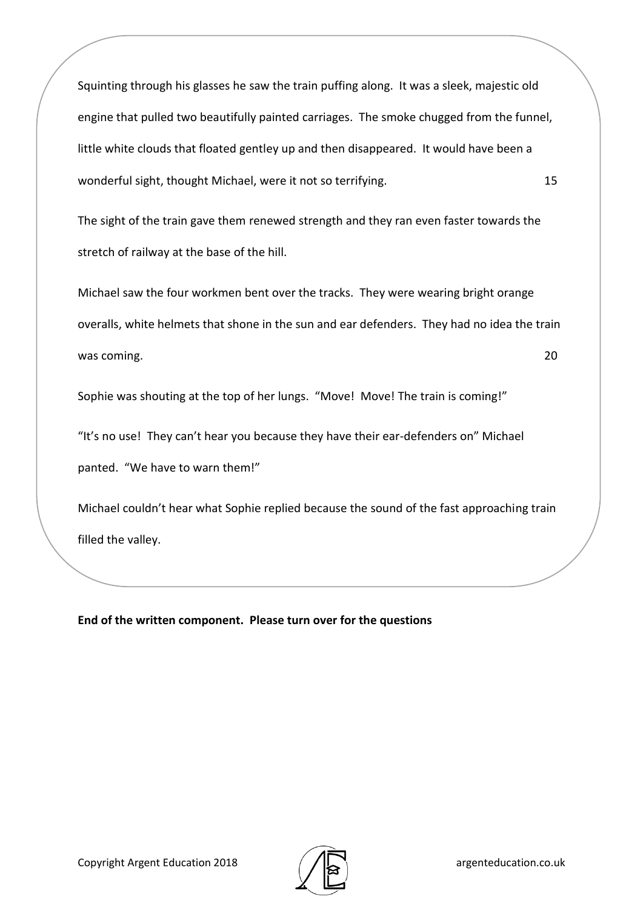Squinting through his glasses he saw the train puffing along. It was a sleek, majestic old engine that pulled two beautifully painted carriages. The smoke chugged from the funnel, little white clouds that floated gentley up and then disappeared. It would have been a wonderful sight, thought Michael, were it not so terrifying. 15

The sight of the train gave them renewed strength and they ran even faster towards the stretch of railway at the base of the hill.

Michael saw the four workmen bent over the tracks. They were wearing bright orange overalls, white helmets that shone in the sun and ear defenders. They had no idea the train was coming. 20

Sophie was shouting at the top of her lungs. "Move! Move! The train is coming!"

"It's no use! They can't hear you because they have their ear-defenders on" Michael panted. "We have to warn them!"

Michael couldn't hear what Sophie replied because the sound of the fast approaching train filled the valley.

**End of the written component. Please turn over for the questions**

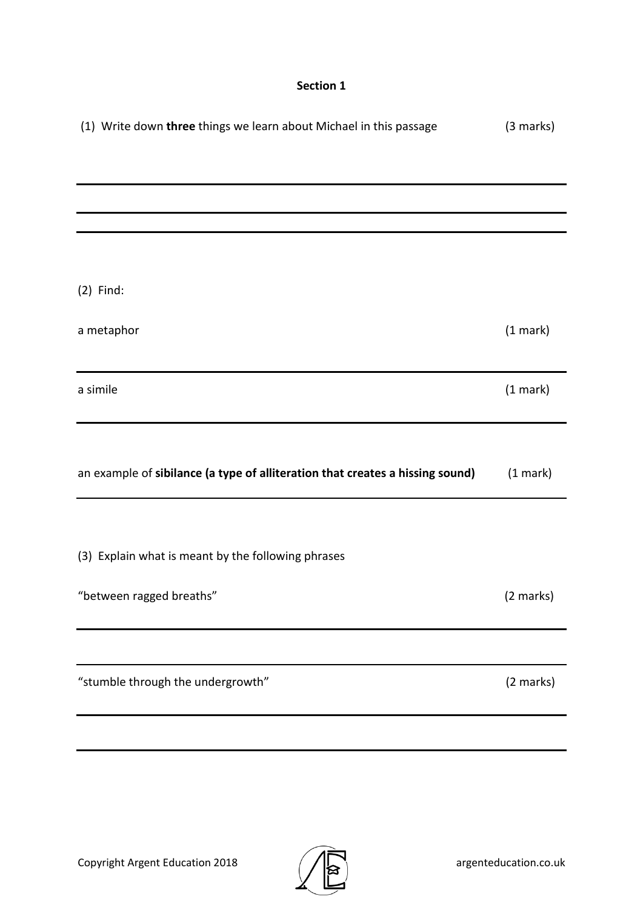## **Section 1**

| (1) Write down three things we learn about Michael in this passage            | (3 marks) |
|-------------------------------------------------------------------------------|-----------|
|                                                                               |           |
|                                                                               |           |
|                                                                               |           |
| $(2)$ Find:                                                                   |           |
| a metaphor                                                                    | (1 mark)  |
| a simile                                                                      | (1 mark)  |
|                                                                               |           |
| an example of sibilance (a type of alliteration that creates a hissing sound) | (1 mark)  |
|                                                                               |           |
| (3) Explain what is meant by the following phrases                            |           |
| "between ragged breaths"                                                      | (2 marks) |
|                                                                               |           |
| "stumble through the undergrowth"                                             | (2 marks) |
|                                                                               |           |

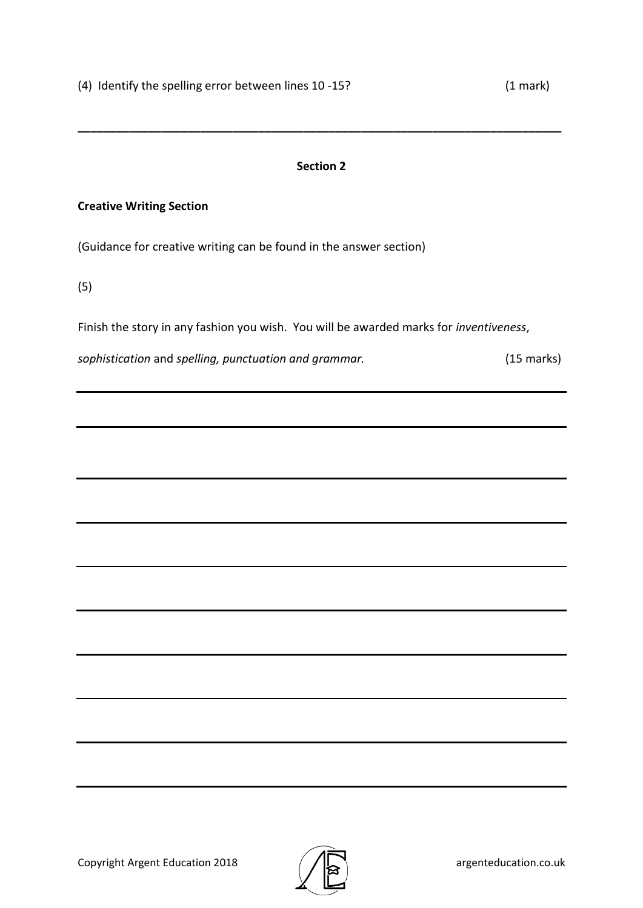## **Section 2**

**\_\_\_\_\_\_\_\_\_\_\_\_\_\_\_\_\_\_\_\_\_\_\_\_\_\_\_\_\_\_\_\_\_\_\_\_\_\_\_\_\_\_\_\_\_\_\_\_\_\_\_\_\_\_\_\_\_\_\_\_\_\_\_\_\_\_\_\_\_\_\_\_\_\_\_**

# **Creative Writing Section**

(Guidance for creative writing can be found in the answer section)

(5)

Finish the story in any fashion you wish. You will be awarded marks for *inventiveness*,

*sophistication* and *spelling, punctuation and grammar.* (15 marks)

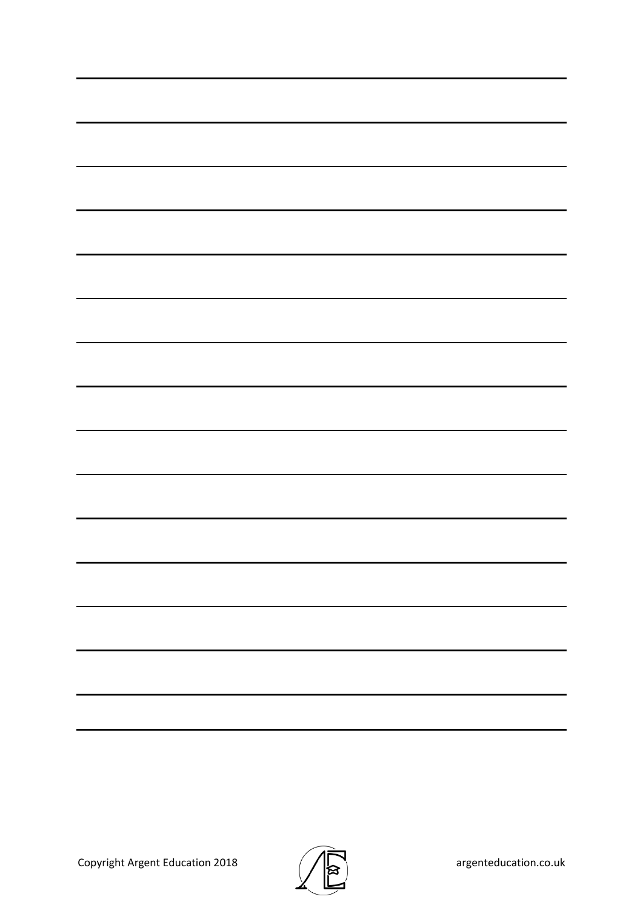

![](_page_5_Picture_2.jpeg)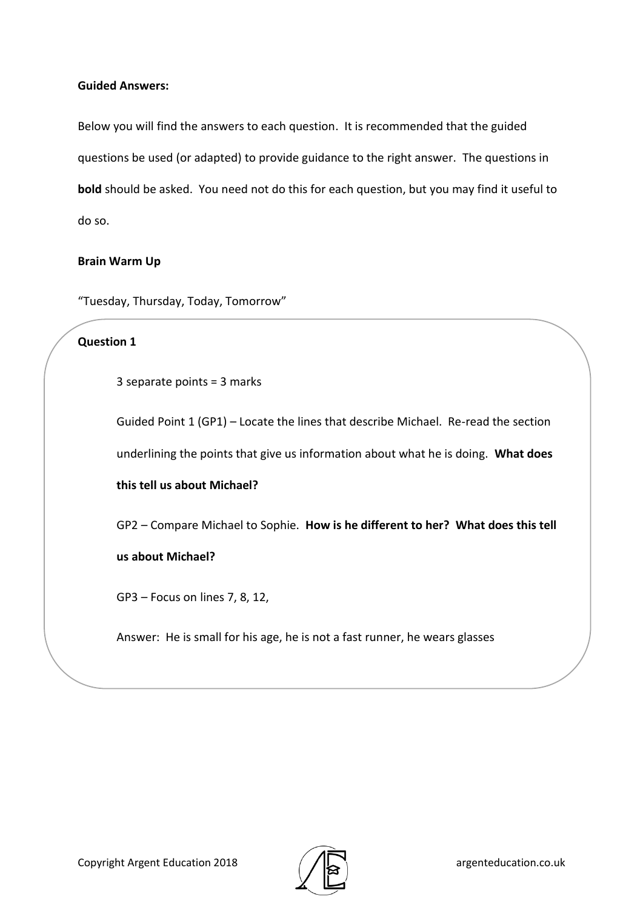## **Guided Answers:**

Below you will find the answers to each question. It is recommended that the guided questions be used (or adapted) to provide guidance to the right answer. The questions in **bold** should be asked. You need not do this for each question, but you may find it useful to do so.

# **Brain Warm Up**

"Tuesday, Thursday, Today, Tomorrow"

# **Question 1**

3 separate points = 3 marks

Guided Point 1 (GP1) – Locate the lines that describe Michael. Re-read the section

underlining the points that give us information about what he is doing. **What does** 

## **this tell us about Michael?**

GP2 – Compare Michael to Sophie. **How is he different to her? What does this tell** 

## **us about Michael?**

GP3 – Focus on lines 7, 8, 12,

Answer: He is small for his age, he is not a fast runner, he wears glasses

![](_page_6_Picture_14.jpeg)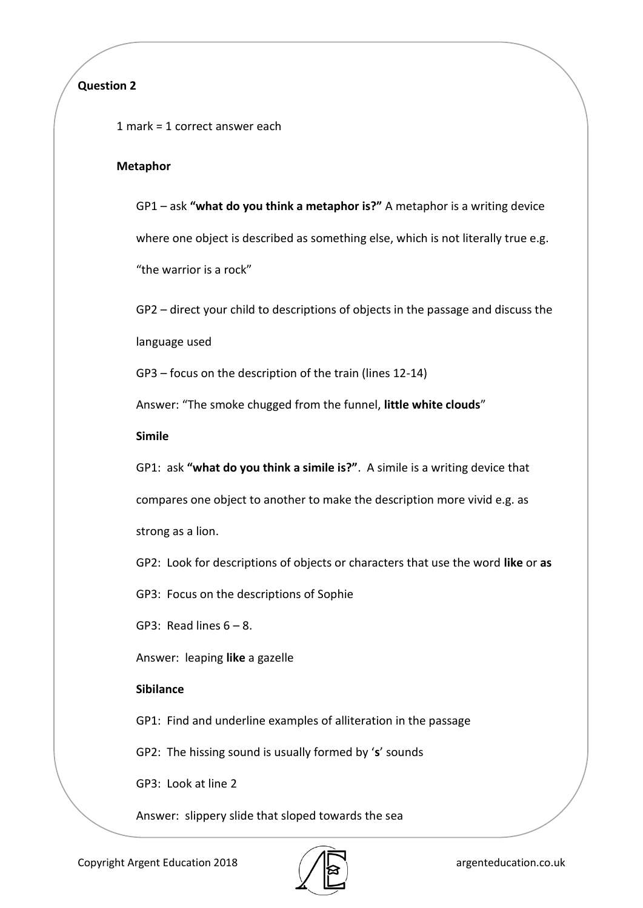# **Question 2**

1 mark = 1 correct answer each

#### **Metaphor**

GP1 – ask **"what do you think a metaphor is?"** A metaphor is a writing device where one object is described as something else, which is not literally true e.g. "the warrior is a rock"

GP2 – direct your child to descriptions of objects in the passage and discuss the language used

GP3 – focus on the description of the train (lines 12-14)

Answer: "The smoke chugged from the funnel, **little white clouds**"

#### **Simile**

GP1: ask **"what do you think a simile is?"**. A simile is a writing device that

compares one object to another to make the description more vivid e.g. as

strong as a lion.

GP2: Look for descriptions of objects or characters that use the word **like** or **as**

GP3: Focus on the descriptions of Sophie

GP3: Read lines  $6 - 8$ .

Answer: leaping **like** a gazelle

## **Sibilance**

GP1: Find and underline examples of alliteration in the passage

GP2: The hissing sound is usually formed by '**s**' sounds

GP3: Look at line 2

Answer: slippery slide that sloped towards the sea

![](_page_7_Picture_21.jpeg)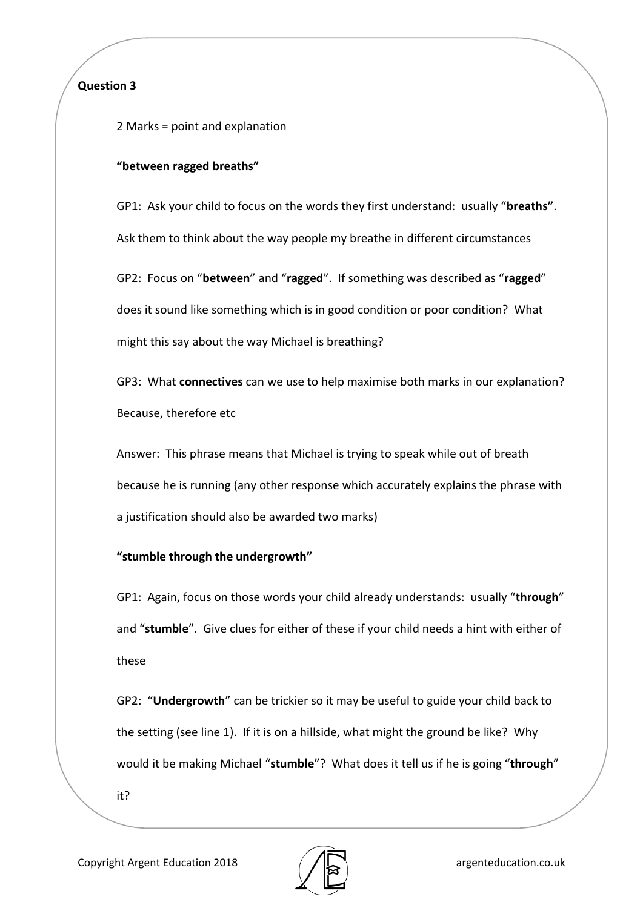# **Question 3**

2 Marks = point and explanation

# **"between ragged breaths"**

GP1: Ask your child to focus on the words they first understand: usually "**breaths"**. Ask them to think about the way people my breathe in different circumstances

GP2: Focus on "**between**" and "**ragged**". If something was described as "**ragged**" does it sound like something which is in good condition or poor condition? What might this say about the way Michael is breathing?

GP3: What **connectives** can we use to help maximise both marks in our explanation? Because, therefore etc

Answer: This phrase means that Michael is trying to speak while out of breath because he is running (any other response which accurately explains the phrase with a justification should also be awarded two marks)

# **"stumble through the undergrowth"**

GP1: Again, focus on those words your child already understands: usually "**through**" and "**stumble**". Give clues for either of these if your child needs a hint with either of these

GP2: "**Undergrowth**" can be trickier so it may be useful to guide your child back to the setting (see line 1). If it is on a hillside, what might the ground be like? Why would it be making Michael "**stumble**"? What does it tell us if he is going "**through**"

it?

![](_page_8_Picture_12.jpeg)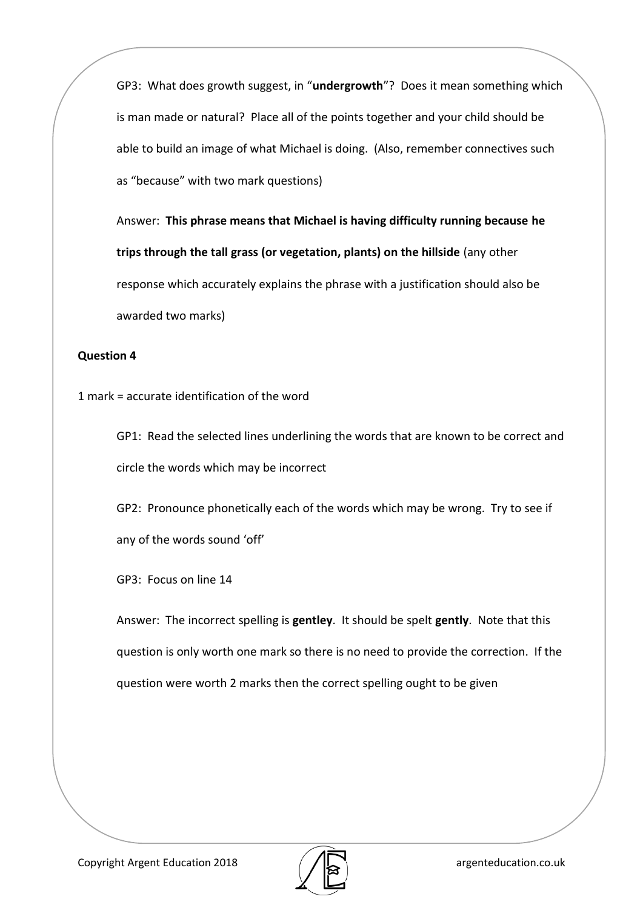GP3: What does growth suggest, in "**undergrowth**"? Does it mean something which is man made or natural? Place all of the points together and your child should be able to build an image of what Michael is doing. (Also, remember connectives such as "because" with two mark questions)

Answer: **This phrase means that Michael is having difficulty running because he trips through the tall grass (or vegetation, plants) on the hillside** (any other response which accurately explains the phrase with a justification should also be awarded two marks)

# **Question 4**

1 mark = accurate identification of the word

GP1: Read the selected lines underlining the words that are known to be correct and circle the words which may be incorrect

GP2: Pronounce phonetically each of the words which may be wrong. Try to see if any of the words sound 'off'

GP3: Focus on line 14

Answer: The incorrect spelling is **gentley**. It should be spelt **gently**. Note that this question is only worth one mark so there is no need to provide the correction. If the question were worth 2 marks then the correct spelling ought to be given

![](_page_9_Picture_9.jpeg)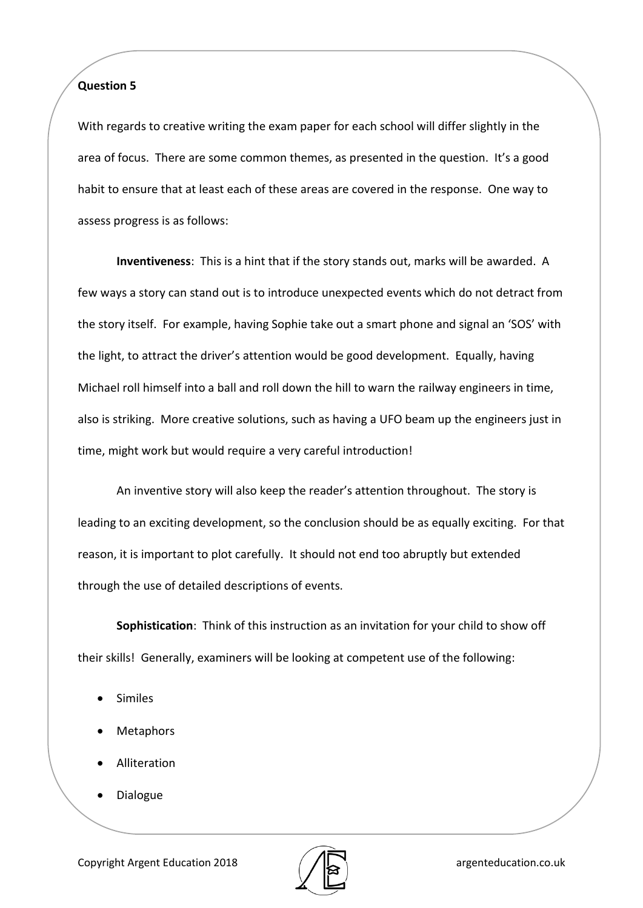# **Question 5**

With regards to creative writing the exam paper for each school will differ slightly in the area of focus. There are some common themes, as presented in the question. It's a good habit to ensure that at least each of these areas are covered in the response. One way to assess progress is as follows:

**Inventiveness**: This is a hint that if the story stands out, marks will be awarded. A few ways a story can stand out is to introduce unexpected events which do not detract from the story itself. For example, having Sophie take out a smart phone and signal an 'SOS' with the light, to attract the driver's attention would be good development. Equally, having Michael roll himself into a ball and roll down the hill to warn the railway engineers in time, also is striking. More creative solutions, such as having a UFO beam up the engineers just in time, might work but would require a very careful introduction!

An inventive story will also keep the reader's attention throughout. The story is leading to an exciting development, so the conclusion should be as equally exciting. For that reason, it is important to plot carefully. It should not end too abruptly but extended through the use of detailed descriptions of events.

**Sophistication**: Think of this instruction as an invitation for your child to show off their skills! Generally, examiners will be looking at competent use of the following:

- Similes
- Metaphors
- Alliteration
- Dialogue

![](_page_10_Picture_10.jpeg)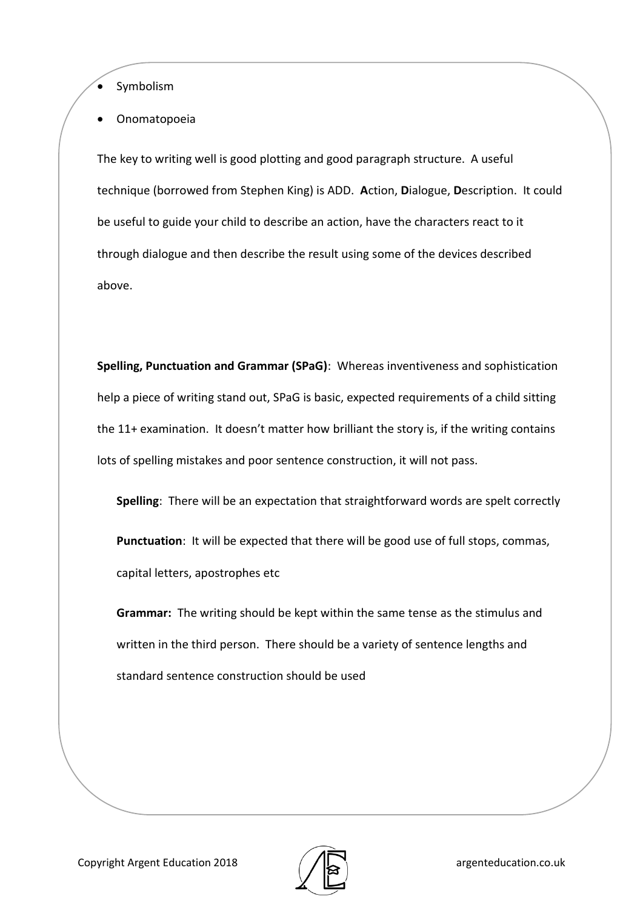# • Symbolism

# • Onomatopoeia

The key to writing well is good plotting and good paragraph structure. A useful technique (borrowed from Stephen King) is ADD. **A**ction, **D**ialogue, **D**escription. It could be useful to guide your child to describe an action, have the characters react to it through dialogue and then describe the result using some of the devices described above.

**Spelling, Punctuation and Grammar (SPaG)**: Whereas inventiveness and sophistication help a piece of writing stand out, SPaG is basic, expected requirements of a child sitting the 11+ examination. It doesn't matter how brilliant the story is, if the writing contains lots of spelling mistakes and poor sentence construction, it will not pass.

**Spelling**: There will be an expectation that straightforward words are spelt correctly **Punctuation**: It will be expected that there will be good use of full stops, commas, capital letters, apostrophes etc

**Grammar:** The writing should be kept within the same tense as the stimulus and written in the third person. There should be a variety of sentence lengths and standard sentence construction should be used

![](_page_11_Picture_7.jpeg)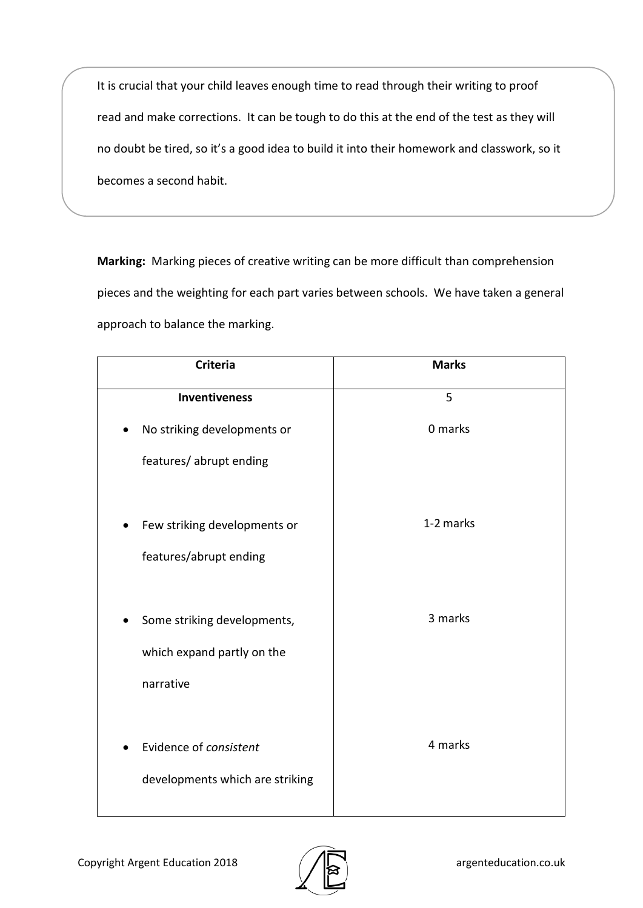It is crucial that your child leaves enough time to read through their writing to proof read and make corrections. It can be tough to do this at the end of the test as they will no doubt be tired, so it's a good idea to build it into their homework and classwork, so it becomes a second habit.

**Marking:** Marking pieces of creative writing can be more difficult than comprehension pieces and the weighting for each part varies between schools. We have taken a general approach to balance the marking.

| <b>Criteria</b>                 | <b>Marks</b> |
|---------------------------------|--------------|
| <b>Inventiveness</b>            | 5            |
| No striking developments or     | 0 marks      |
| features/ abrupt ending         |              |
|                                 |              |
| Few striking developments or    | 1-2 marks    |
| features/abrupt ending          |              |
|                                 |              |
| Some striking developments,     | 3 marks      |
| which expand partly on the      |              |
| narrative                       |              |
|                                 |              |
| Evidence of consistent          | 4 marks      |
|                                 |              |
| developments which are striking |              |
|                                 |              |

![](_page_12_Picture_4.jpeg)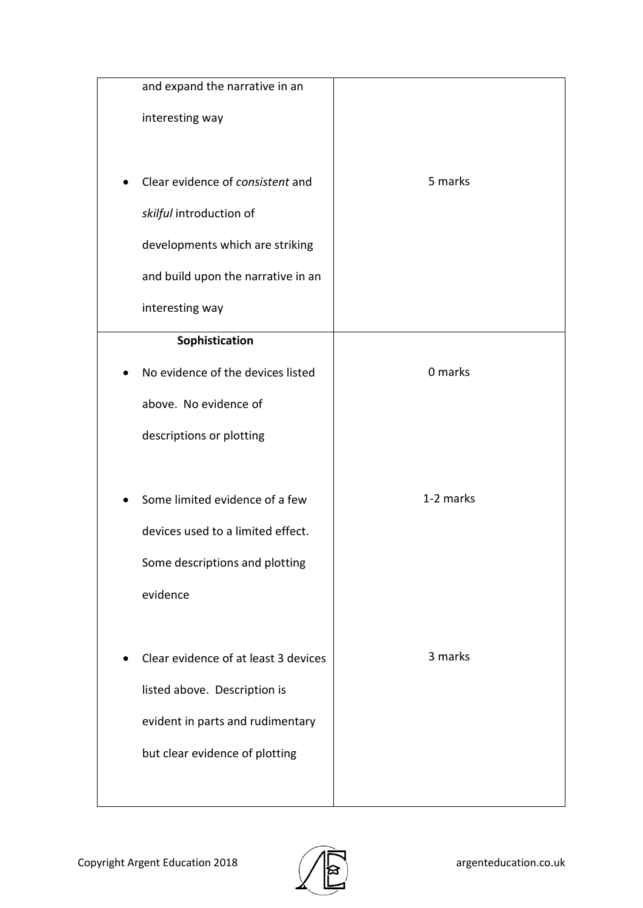| and expand the narrative in an          |           |
|-----------------------------------------|-----------|
| interesting way                         |           |
|                                         |           |
| Clear evidence of <i>consistent</i> and | 5 marks   |
|                                         |           |
| skilful introduction of                 |           |
| developments which are striking         |           |
| and build upon the narrative in an      |           |
| interesting way                         |           |
| Sophistication                          |           |
| No evidence of the devices listed       | 0 marks   |
| above. No evidence of                   |           |
| descriptions or plotting                |           |
|                                         |           |
|                                         |           |
| Some limited evidence of a few          | 1-2 marks |
| devices used to a limited effect.       |           |
| Some descriptions and plotting          |           |
| evidence                                |           |
|                                         |           |
|                                         | 3 marks   |
| Clear evidence of at least 3 devices    |           |
| listed above. Description is            |           |
| evident in parts and rudimentary        |           |
| but clear evidence of plotting          |           |
|                                         |           |
|                                         |           |

![](_page_13_Picture_2.jpeg)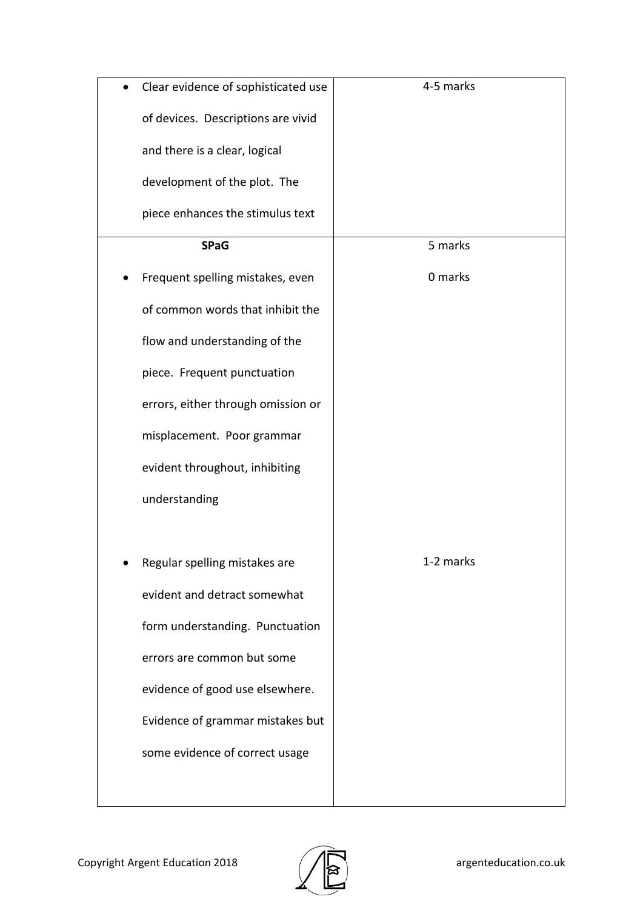| $\bullet$ | Clear evidence of sophisticated use | 4-5 marks |
|-----------|-------------------------------------|-----------|
|           | of devices. Descriptions are vivid  |           |
|           | and there is a clear, logical       |           |
|           | development of the plot. The        |           |
|           | piece enhances the stimulus text    |           |
|           | <b>SPaG</b>                         | 5 marks   |
|           | Frequent spelling mistakes, even    | 0 marks   |
|           | of common words that inhibit the    |           |
|           | flow and understanding of the       |           |
|           | piece. Frequent punctuation         |           |
|           | errors, either through omission or  |           |
|           | misplacement. Poor grammar          |           |
|           | evident throughout, inhibiting      |           |
|           | understanding                       |           |
|           |                                     |           |
|           | Regular spelling mistakes are       | 1-2 marks |
|           | evident and detract somewhat        |           |
|           | form understanding. Punctuation     |           |
|           | errors are common but some          |           |
|           | evidence of good use elsewhere.     |           |
|           | Evidence of grammar mistakes but    |           |
|           | some evidence of correct usage      |           |
|           |                                     |           |
|           |                                     |           |

![](_page_14_Picture_2.jpeg)